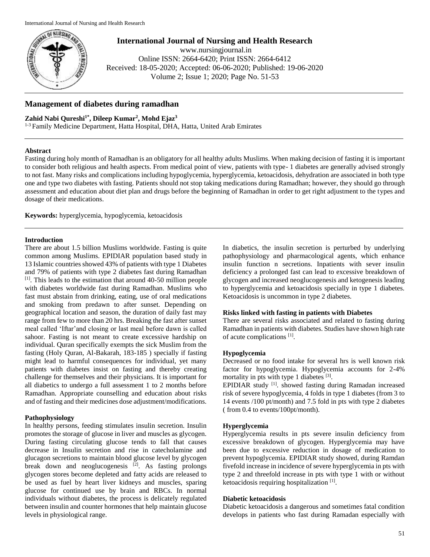

**International Journal of Nursing and Health Research** www.nursingjournal.in Online ISSN: 2664-6420; Print ISSN: 2664-6412 Received: 18-05-2020; Accepted: 06-06-2020; Published: 19-06-2020 Volume 2; Issue 1; 2020; Page No. 51-53

# **Management of diabetes during ramadhan**

## **Zahid Nabi Qureshi1\* , Dileep Kumar<sup>2</sup> , Mohd Ejaz<sup>3</sup>**

1-3 Family Medicine Department, Hatta Hospital, DHA, Hatta, United Arab Emirates

### **Abstract**

Fasting during holy month of Ramadhan is an obligatory for all healthy adults Muslims. When making decision of fasting it is important to consider both religious and health aspects. From medical point of view, patients with type- 1 diabetes are generally advised strongly to not fast. Many risks and complications including hypoglycemia, hyperglycemia, ketoacidosis, dehydration are associated in both type one and type two diabetes with fasting. Patients should not stop taking medications during Ramadhan; however, they should go through assessment and education about diet plan and drugs before the beginning of Ramadhan in order to get right adjustment to the types and dosage of their medications.

**Keywords:** hyperglycemia, hypoglycemia, ketoacidosis

### **Introduction**

There are about 1.5 billion Muslims worldwide. Fasting is quite common among Muslims. EPIDIAR population based study in 13 Islamic countries showed 43% of patients with type 1 Diabetes and 79% of patients with type 2 diabetes fast during Ramadhan  $[1]$ . This leads to the estimation that around 40-50 million people with diabetes worldwide fast during Ramadhan. Muslims who fast must abstain from drinking, eating, use of oral medications and smoking from predawn to after sunset. Depending on geographical location and season, the duration of daily fast may range from few to more than 20 hrs. Breaking the fast after sunset meal called 'Iftar'and closing or last meal before dawn is called sahoor. Fasting is not meant to create excessive hardship on individual. Quran specifically exempts the sick Muslim from the fasting (Holy Quran, Al-Bakarah, 183-185 ) specially if fasting might lead to harmful consequences for individual, yet many patients with diabetes insist on fasting and thereby creating challenge for themselves and their physicians. It is important for all diabetics to undergo a full assessment 1 to 2 months before Ramadhan. Appropriate counselling and education about risks and of fasting and their medicines dose adjustment/modifications.

### **Pathophysiology**

In healthy persons, feeding stimulates insulin secretion. Insulin promotes the storage of glucose in liver and muscles as glycogen. During fasting circulating glucose tends to fall that causes decrease in Insulin secretion and rise in catecholamine and glucagon secretions to maintain blood glucose level by glycogen break down and neoglucogenesis  $\begin{bmatrix} 2 \end{bmatrix}$ . As fasting prolongs glycogen stores become depleted and fatty acids are released to be used as fuel by heart liver kidneys and muscles, sparing glucose for continued use by brain and RBCs. In normal individuals without diabetes, the process is delicately regulated between insulin and counter hormones that help maintain glucose levels in physiological range.

In diabetics, the insulin secretion is perturbed by underlying pathophysiology and pharmacological agents, which enhance insulin function n secretions. Inpatients with sever insulin deficiency a prolonged fast can lead to excessive breakdown of glycogen and increased neoglucogenesis and ketogenesis leading to hyperglycemia and ketoacidosis specially in type 1 diabetes. Ketoacidosis is uncommon in type 2 diabetes.

#### **Risks linked with fasting in patients with Diabetes**

There are several risks associated and related to fasting during Ramadhan in patients with diabetes. Studies have shown high rate of acute complications [1].

#### **Hypoglycemia**

Decreased or no food intake for several hrs is well known risk factor for hypoglycemia. Hypoglycemia accounts for 2-4% mortality in pts with type 1 diabetes <sup>[3]</sup>.

EPIDIAR study <sup>[1]</sup>. showed fasting during Ramadan increased risk of severe hypoglycemia, 4 folds in type 1 diabetes (from 3 to 14 events /100 pt/month) and 7.5 fold in pts with type 2 diabetes ( from 0.4 to events/100pt/month).

#### **Hyperglycemia**

Hyperglycemia results in pts severe insulin deficiency from excessive breakdown of glycogen. Hyperglycemia may have been due to excessive reduction in dosage of medication to prevent hypoglycemia. EPIDIAR study showed, during Ramdan fivefold increase in incidence of severe hyperglycemia in pts with type 2 and threefold increase in pts with type 1 with or without ketoacidosis requiring hospitalization [1].

#### **Diabetic ketoacidosis**

Diabetic ketoacidosis a dangerous and sometimes fatal condition develops in patients who fast during Ramadan especially with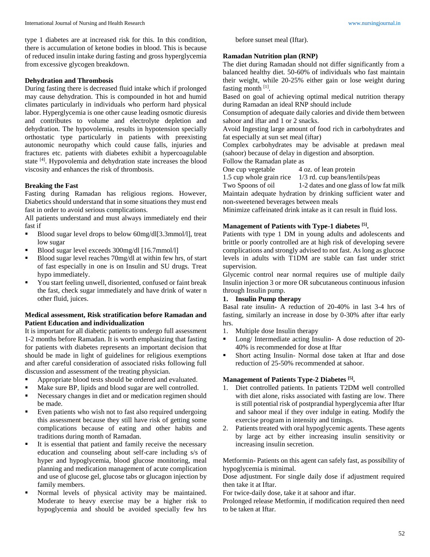type 1 diabetes are at increased risk for this. In this condition, there is accumulation of ketone bodies in blood. This is because of reduced insulin intake during fasting and gross hyperglycemia from excessive glycogen breakdown.

#### **Dehydration and Thrombosis**

During fasting there is decreased fluid intake which if prolonged may cause dehydration. This is compounded in hot and humid climates particularly in individuals who perform hard physical labor. Hyperglycemia is one other cause leading osmotic diuresis and contributes to volume and electrolyte depletion and dehydration. The hypovolemia, results in hypotension specially orthostatic type particularly in patients with preexisting autonomic neuropathy which could cause falls, injuries and fractures etc. patients with diabetes exhibit a hypercoagulable state [4]. Hypovolemia and dehydration state increases the blood viscosity and enhances the risk of thrombosis.

#### **Breaking the Fast**

Fasting during Ramadan has religious regions. However, Diabetics should understand that in some situations they must end fast in order to avoid serious complications.

All patients understand and must always immediately end their fast if

- Blood sugar level drops to below 60mg/dl[3.3mmol/l], treat low sugar
- Blood sugar level exceeds 300mg/dl [16.7mmol/l]
- Blood sugar level reaches 70mg/dl at within few hrs, of start of fast especially in one is on Insulin and SU drugs. Treat hypo immediately.
- You start feeling unwell, disoriented, confused or faint break the fast, check sugar immediately and have drink of water n other fluid, juices.

#### **Medical assessment, Risk stratification before Ramadan and Patient Education and individualization**

It is important for all diabetic patients to undergo full assessment 1-2 months before Ramadan. It is worth emphasizing that fasting for patients with diabetes represents an important decision that should be made in light of guidelines for religious exemptions and after careful consideration of associated risks following full discussion and assessment of the treating physician.

- Appropriate blood tests should be ordered and evaluated.
- Make sure BP, lipids and blood sugar are well controlled.
- Necessary changes in diet and or medication regimen should be made.
- Even patients who wish not to fast also required undergoing this assessment because they still have risk of getting some complications because of eating and other habits and traditions during month of Ramadan.
- It is essential that patient and family receive the necessary education and counseling about self-care including s/s of hyper and hypoglycemia, blood glucose monitoring, meal planning and medication management of acute complication and use of glucose gel, glucose tabs or glucagon injection by family members.
- Normal levels of physical activity may be maintained. Moderate to heavy exercise may be a higher risk to hypoglycemia and should be avoided specially few hrs

before sunset meal (Iftar).

#### **Ramadan Nutrition plan (RNP)**

The diet during Ramadan should not differ significantly from a balanced healthy diet. 50-60% of individuals who fast maintain their weight, while 20-25% either gain or lose weight during fasting month [1].

Based on goal of achieving optimal medical nutrition therapy during Ramadan an ideal RNP should include

Consumption of adequate daily calories and divide them between sahoor and iftar and 1 or 2 snacks.

Avoid Ingesting large amount of food rich in carbohydrates and fat especially at sun set meal (iftar)

Complex carbohydrates may be advisable at predawn meal (sahoor) because of delay in digestion and absorption.

Follow the Ramadan plate as

One cup vegetable 4 oz. of lean protein

1.5 cup whole grain rice 1/3 rd. cup beans/lentils/peas

Two Spoons of oil 1-2 dates and one glass of low fat milk Maintain adequate hydration by drinking sufficient water and non-sweetened beverages between meals

Minimize caffeinated drink intake as it can result in fluid loss.

### **Management of Patients with Type-1 diabetes [5] .**

Patients with type 1 DM in young adults and adolescents and brittle or poorly controlled are at high risk of developing severe complications and strongly advised to not fast. As long as glucose levels in adults with T1DM are stable can fast under strict supervision.

Glycemic control near normal requires use of multiple daily Insulin injection 3 or more OR subcutaneous continuous infusion through Insulin pump.

# **1. Insulin Pump therapy**

Basal rate insulin- A reduction of 20-40% in last 3-4 hrs of fasting, similarly an increase in dose by 0-30% after iftar early hrs.

- 1. Multiple dose Insulin therapy
- **Long/** Intermediate acting Insulin- A dose reduction of 20-40% is recommended for dose at Iftar
- Short acting Insulin- Normal dose taken at Iftar and dose reduction of 25-50% recommended at sahoor.

### **Management of Patients Type-2 Diabetes [5] .**

- 1. Diet controlled patients. In patients T2DM well controlled with diet alone, risks associated with fasting are low. There is still potential risk of postprandial hyperglycemia after Iftar and sahoor meal if they over indulge in eating. Modify the exercise program in intensity and timings.
- 2. Patients treated with oral hypoglycemic agents. These agents by large act by either increasing insulin sensitivity or increasing insulin secretion.

Metformin- Patients on this agent can safely fast, as possibility of hypoglycemia is minimal.

Dose adjustment. For single daily dose if adjustment required then take it at Iftar.

For twice-daily dose, take it at sahoor and iftar.

Prolonged release Metformin, if modification required then need to be taken at Iftar.